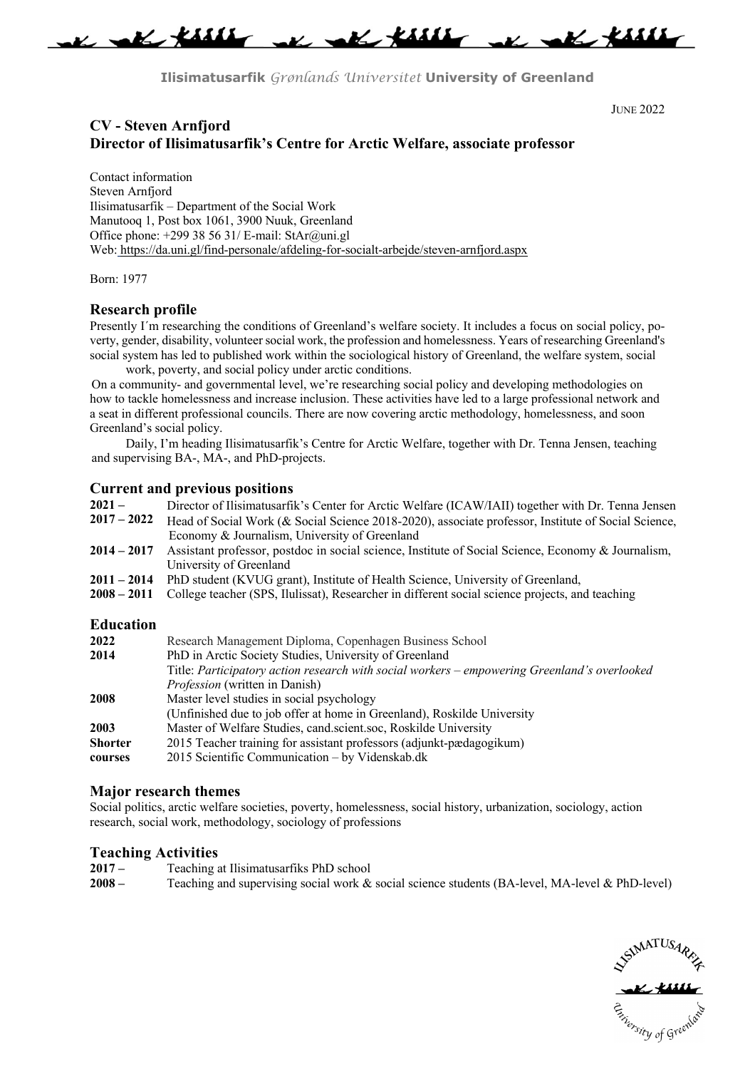

**Ilisimatusarfik** *Grønlands Universitet* **University of Greenland**

JUNE 2022

# **CV - Steven Arnfjord Director of Ilisimatusarfik's Centre for Arctic Welfare, associate professor**

Contact information Steven Arnfjord Ilisimatusarfik – Department of the Social Work Manutooq 1, Post box 1061, 3900 Nuuk, Greenland Office phone: +299 38 56 31/ E-mail: StAr@uni.gl Web: https://da.uni.gl/find-personale/afdeling-for-socialt-arbejde/steven-arnfjord.aspx

Born: 1977

#### **Research profile**

Presently I´m researching the conditions of Greenland's welfare society. It includes a focus on social policy, poverty, gender, disability, volunteer social work, the profession and homelessness. Years of researching Greenland's social system has led to published work within the sociological history of Greenland, the welfare system, social work, poverty, and social policy under arctic conditions.

On a community- and governmental level, we're researching social policy and developing methodologies on how to tackle homelessness and increase inclusion. These activities have led to a large professional network and a seat in different professional councils. There are now covering arctic methodology, homelessness, and soon Greenland's social policy.

Daily, I'm heading Ilisimatusarfik's Centre for Arctic Welfare, together with Dr. Tenna Jensen, teaching and supervising BA-, MA-, and PhD-projects.

# **Current and previous positions**

| $2021-$       | Director of Ilisimatusarfik's Center for Arctic Welfare (ICAW/IAII) together with Dr. Tenna Jensen  |
|---------------|-----------------------------------------------------------------------------------------------------|
| $2017 - 2022$ | Head of Social Work (& Social Science 2018-2020), associate professor, Institute of Social Science, |
|               | Economy & Journalism, University of Greenland                                                       |
| $2014 - 2017$ | Assistant professor, postdoc in social science, Institute of Social Science, Economy & Journalism,  |
|               | University of Greenland                                                                             |
| 2011 – 2014   | PhD student (KVUG grant), Institute of Health Science, University of Greenland,                     |
| $2008 - 2011$ | College teacher (SPS, Ilulissat), Researcher in different social science projects, and teaching     |

#### **Education**

| 2022           | Research Management Diploma, Copenhagen Business School                                      |
|----------------|----------------------------------------------------------------------------------------------|
| 2014           | PhD in Arctic Society Studies, University of Greenland                                       |
|                | Title: Participatory action research with social workers – empowering Greenland's overlooked |
|                | <i>Profession</i> (written in Danish)                                                        |
| 2008           | Master level studies in social psychology                                                    |
|                | (Unfinished due to job offer at home in Greenland), Roskilde University                      |
| 2003           | Master of Welfare Studies, cand.scient.soc, Roskilde University                              |
| <b>Shorter</b> | 2015 Teacher training for assistant professors (adjunkt-pædagogikum)                         |
| courses        | 2015 Scientific Communication - by Videnskab.dk                                              |

## **Major research themes**

Social politics, arctic welfare societies, poverty, homelessness, social history, urbanization, sociology, action research, social work, methodology, sociology of professions

## **Teaching Activities**

| $2017-$  | Teaching at Ilisimatus artiks PhD school                                                        |
|----------|-------------------------------------------------------------------------------------------------|
| $2008 -$ | Teaching and supervising social work & social science students (BA-level, MA-level & PhD-level) |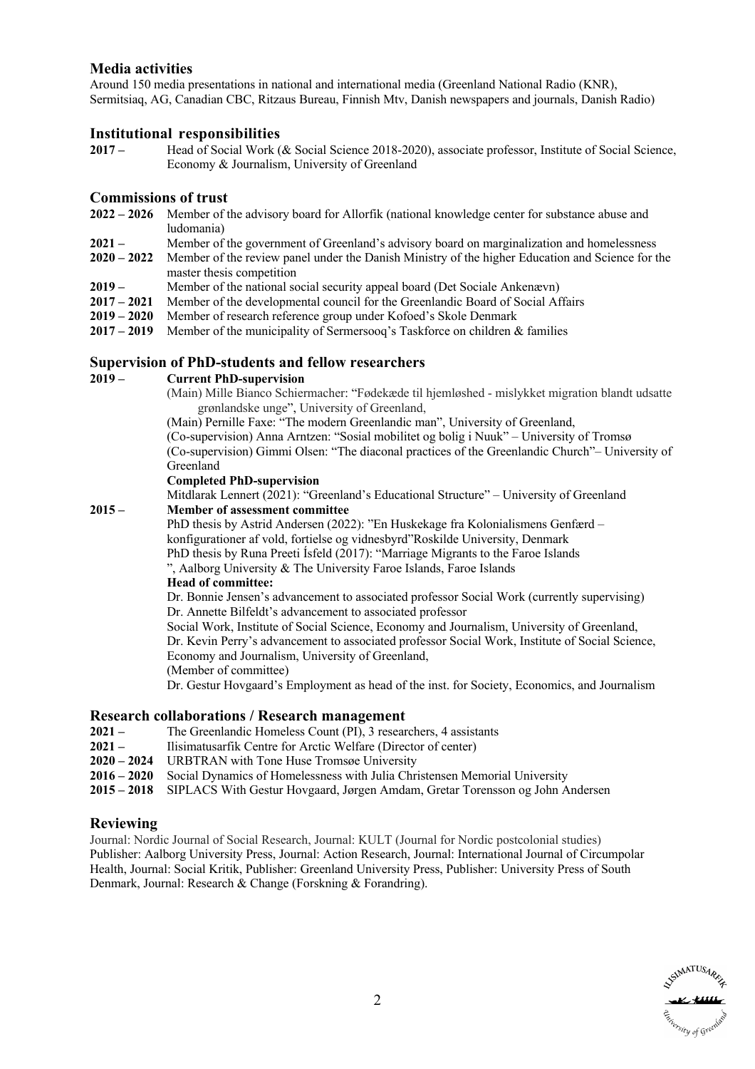# **Media activities**

Around 150 media presentations in national and international media (Greenland National Radio (KNR), Sermitsiaq, AG, Canadian CBC, Ritzaus Bureau, Finnish Mtv, Danish newspapers and journals, Danish Radio)

## **Institutional responsibilities**

**2017 –** Head of Social Work (& Social Science 2018-2020), associate professor, Institute of Social Science, Economy & Journalism, University of Greenland

#### **Commissions of trust**

- **2022 – 2026** Member of the advisory board for Allorfik (national knowledge center for substance abuse and ludomania)
- **2021 –** Member of the government of Greenland's advisory board on marginalization and homelessness
- **2020 – 2022** Member of the review panel under the Danish Ministry of the higher Education and Science for the master thesis competition
- **2019 –** Member of the national social security appeal board (Det Sociale Ankenævn)
- **2017 – 2021** Member of the developmental council for the Greenlandic Board of Social Affairs
- **2019 – 2020** Member of research reference group under Kofoed's Skole Denmark
- **2017 – 2019** Member of the municipality of Sermersooq's Taskforce on children & families

#### **Supervision of PhD-students and fellow researchers**

#### **2019 – Current PhD-supervision**

(Main) Mille Bianco Schiermacher: "Fødekæde til hjemløshed - mislykket migration blandt udsatte grønlandske unge", University of Greenland,

(Main) Pernille Faxe: "The modern Greenlandic man", University of Greenland,

(Co-supervision) Anna Arntzen: "Sosial mobilitet og bolig i Nuuk" – University of Tromsø (Co-supervision) Gimmi Olsen: "The diaconal practices of the Greenlandic Church"– University of Greenland

#### **Completed PhD-supervision**

Mitdlarak Lennert (2021): "Greenland's Educational Structure" – University of Greenland **2015 – Member of assessment committee**

> PhD thesis by Astrid Andersen (2022): "En Huskekage fra Kolonialismens Genfærd – konfigurationer af vold, fortielse og vidnesbyrd"Roskilde University, Denmark PhD thesis by Runa Preeti Ísfeld (2017): "Marriage Migrants to the Faroe Islands

", Aalborg University & The University Faroe Islands, Faroe Islands

# **Head of committee:**

Dr. Bonnie Jensen's advancement to associated professor Social Work (currently supervising) Dr. Annette Bilfeldt's advancement to associated professor

Social Work, Institute of Social Science, Economy and Journalism, University of Greenland, Dr. Kevin Perry's advancement to associated professor Social Work, Institute of Social Science, Economy and Journalism, University of Greenland,

(Member of committee)

Dr. Gestur Hovgaard's Employment as head of the inst. for Society, Economics, and Journalism

#### **Research collaborations / Research management**

- **2021 –** The Greenlandic Homeless Count (PI), 3 researchers, 4 assistants
- **2021 –** Ilisimatusarfik Centre for Arctic Welfare (Director of center)
- **2020 – 2024** URBTRAN with Tone Huse Tromsøe University
- **2016 – 2020** Social Dynamics of Homelessness with Julia Christensen Memorial University
- **2015 – 2018** SIPLACS With Gestur Hovgaard, Jørgen Amdam, Gretar Torensson og John Andersen

#### **Reviewing**

Journal: Nordic Journal of Social Research, Journal: KULT (Journal for Nordic postcolonial studies) Publisher: Aalborg University Press, Journal: Action Research, Journal: International Journal of Circumpolar Health, Journal: Social Kritik, Publisher: Greenland University Press, Publisher: University Press of South Denmark, Journal: Research & Change (Forskning & Forandring).

s<sub>sity of Gree</sub>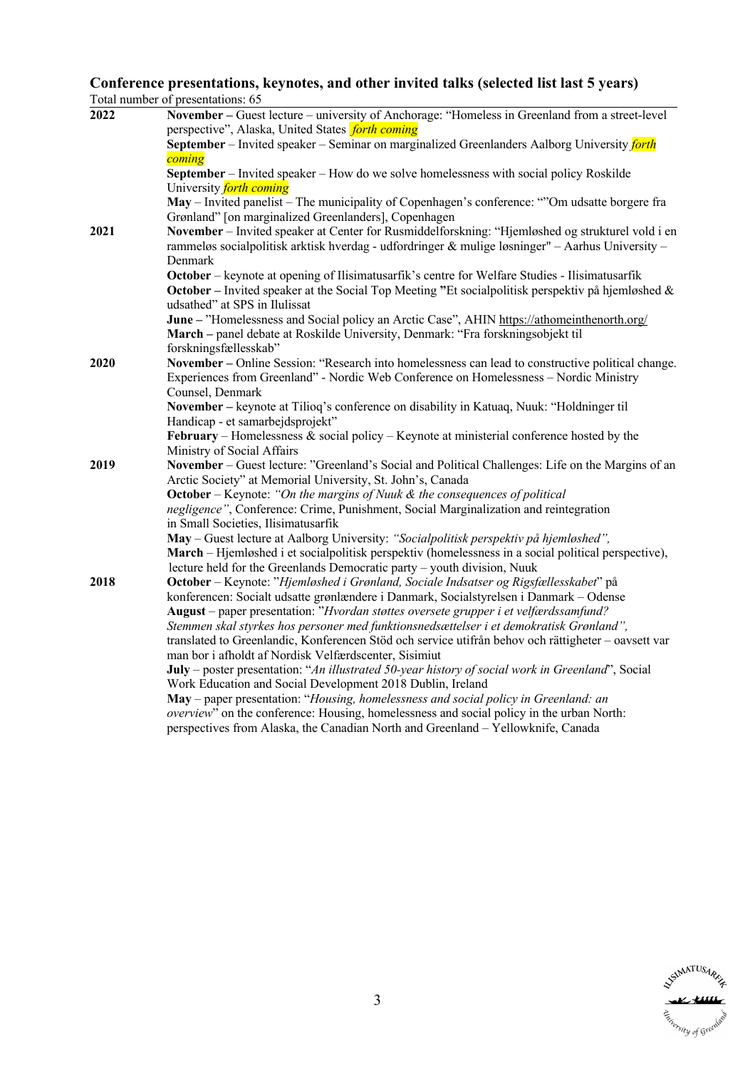#### **Conference presentations, keynotes, and other invited talks (selected list last 5 years)** Total number of presentations: 65

| 2022 | November - Guest lecture - university of Anchorage: "Homeless in Greenland from a street-level                                                                  |
|------|-----------------------------------------------------------------------------------------------------------------------------------------------------------------|
|      | perspective", Alaska, United States <i>forth coming</i>                                                                                                         |
|      | September – Invited speaker – Seminar on marginalized Greenlanders Aalborg University <i>forth</i>                                                              |
|      | coming                                                                                                                                                          |
|      | September – Invited speaker – How do we solve homelessness with social policy Roskilde                                                                          |
|      | University <i>forth coming</i>                                                                                                                                  |
|      | May – Invited panelist – The municipality of Copenhagen's conference: ""Om udsatte borgere fra                                                                  |
|      | Grønland" [on marginalized Greenlanders], Copenhagen                                                                                                            |
| 2021 | November - Invited speaker at Center for Rusmiddelforskning: "Hjemløshed og strukturel vold i en                                                                |
|      | rammeløs socialpolitisk arktisk hverdag - udfordringer & mulige løsninger" - Aarhus University -                                                                |
|      | Denmark                                                                                                                                                         |
|      | October – keynote at opening of Ilisimatusarfik's centre for Welfare Studies - Ilisimatusarfik                                                                  |
|      | <b>October</b> – Invited speaker at the Social Top Meeting "Et social politisk perspektiv på hjemløshed &                                                       |
|      | udsathed" at SPS in Ilulissat                                                                                                                                   |
|      | June - "Homelessness and Social policy an Arctic Case", AHIN https://athomeinthenorth.org/                                                                      |
|      | March - panel debate at Roskilde University, Denmark: "Fra forskningsobjekt til                                                                                 |
|      | forskningsfællesskab"                                                                                                                                           |
| 2020 | November – Online Session: "Research into homelessness can lead to constructive political change.                                                               |
|      | Experiences from Greenland" - Nordic Web Conference on Homelessness - Nordic Ministry                                                                           |
|      | Counsel, Denmark                                                                                                                                                |
|      | November - keynote at Tilioq's conference on disability in Katuaq, Nuuk: "Holdninger til                                                                        |
|      | Handicap - et samarbejdsprojekt"                                                                                                                                |
|      | February – Homelessness & social policy – Keynote at ministerial conference hosted by the                                                                       |
| 2019 | Ministry of Social Affairs                                                                                                                                      |
|      | November – Guest lecture: "Greenland's Social and Political Challenges: Life on the Margins of an<br>Arctic Society" at Memorial University, St. John's, Canada |
|      | <b>October</b> – Keynote: "On the margins of Nuuk $\&$ the consequences of political                                                                            |
|      | negligence", Conference: Crime, Punishment, Social Marginalization and reintegration                                                                            |
|      | in Small Societies, Ilisimatusarfik                                                                                                                             |
|      | May - Guest lecture at Aalborg University: "Socialpolitisk perspektiv på hjemløshed",                                                                           |
|      | March – Hjemløshed i et socialpolitisk perspektiv (homelessness in a social political perspective),                                                             |
|      | lecture held for the Greenlands Democratic party - youth division, Nuuk                                                                                         |
| 2018 | October – Keynote: "Hjemløshed i Grønland, Sociale Indsatser og Rigsfællesskabet" på                                                                            |
|      | konferencen: Socialt udsatte grønlændere i Danmark, Socialstyrelsen i Danmark – Odense                                                                          |
|      | August - paper presentation: "Hvordan støttes oversete grupper i et velfærdssamfund?                                                                            |
|      | Stemmen skal styrkes hos personer med funktionsnedsættelser i et demokratisk Grønland",                                                                         |
|      | translated to Greenlandic, Konferencen Stöd och service utifrån behov och rättigheter – oavsett var                                                             |
|      | man bor i afholdt af Nordisk Velfærdscenter, Sisimiut                                                                                                           |
|      | July – poster presentation: "An illustrated 50-year history of social work in Greenland", Social                                                                |
|      | Work Education and Social Development 2018 Dublin, Ireland                                                                                                      |
|      | May - paper presentation: "Housing, homelessness and social policy in Greenland: an                                                                             |
|      | overview" on the conference: Housing, homelessness and social policy in the urban North:                                                                        |
|      | perspectives from Alaska, the Canadian North and Greenland - Yellowknife, Canada                                                                                |

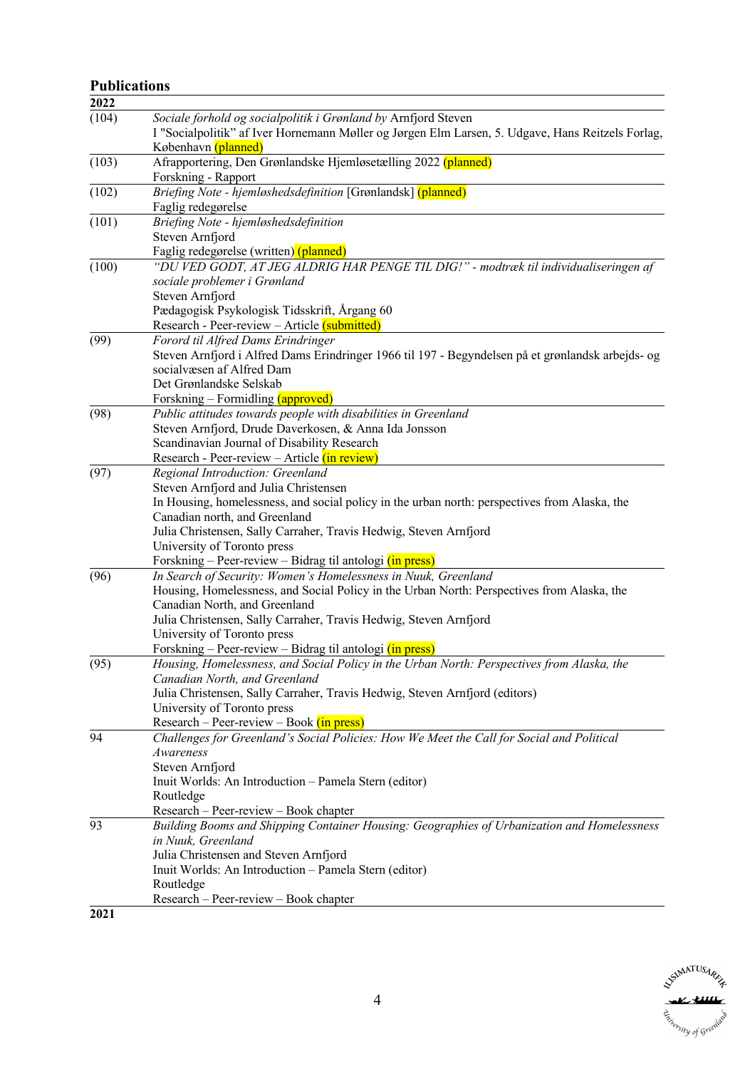# **Publications**

| 2022  |                                                                                                   |
|-------|---------------------------------------------------------------------------------------------------|
| (104) | Sociale forhold og socialpolitik i Grønland by Arnfjord Steven                                    |
|       | I "Socialpolitik" af Iver Hornemann Møller og Jørgen Elm Larsen, 5. Udgave, Hans Reitzels Forlag, |
|       | København (planned)                                                                               |
| (103) | Afrapportering, Den Grønlandske Hjemløsetælling 2022 (planned)                                    |
|       | Forskning - Rapport                                                                               |
| (102) | Briefing Note - hjemløshedsdefinition [Grønlandsk] (planned)                                      |
|       | Faglig redegørelse                                                                                |
| (101) | Briefing Note - hjemløshedsdefinition                                                             |
|       | Steven Arnfjord                                                                                   |
|       | Faglig redegørelse (written) (planned)                                                            |
| (100) | "DU VED GODT, AT JEG ALDRIG HAR PENGE TIL DIG!" - modtræk til individualiseringen af              |
|       | sociale problemer i Grønland                                                                      |
|       | Steven Arnfjord                                                                                   |
|       | Pædagogisk Psykologisk Tidsskrift, Årgang 60                                                      |
|       | Research - Peer-review – Article (submitted)                                                      |
| (99)  | Forord til Alfred Dams Erindringer                                                                |
|       | Steven Arnfjord i Alfred Dams Erindringer 1966 til 197 - Begyndelsen på et grønlandsk arbejds- og |
|       | socialvæsen af Alfred Dam                                                                         |
|       | Det Grønlandske Selskab                                                                           |
|       | Forskning – Formidling (approved)                                                                 |
| (98)  | Public attitudes towards people with disabilities in Greenland                                    |
|       | Steven Arnfjord, Drude Daverkosen, & Anna Ida Jonsson                                             |
|       | Scandinavian Journal of Disability Research                                                       |
|       | Research - Peer-review - Article (in review)                                                      |
| (97)  | Regional Introduction: Greenland                                                                  |
|       | Steven Arnfjord and Julia Christensen                                                             |
|       | In Housing, homelessness, and social policy in the urban north: perspectives from Alaska, the     |
|       | Canadian north, and Greenland                                                                     |
|       | Julia Christensen, Sally Carraher, Travis Hedwig, Steven Arnfjord                                 |
|       | University of Toronto press                                                                       |
|       | Forskning – Peer-review – Bidrag til antologi (in press)                                          |
| (96)  | In Search of Security: Women's Homelessness in Nuuk, Greenland                                    |
|       | Housing, Homelessness, and Social Policy in the Urban North: Perspectives from Alaska, the        |
|       | Canadian North, and Greenland                                                                     |
|       | Julia Christensen, Sally Carraher, Travis Hedwig, Steven Arnfjord                                 |
|       | University of Toronto press                                                                       |
|       | Forskning – Peer-review – Bidrag til antologi (in press)                                          |
| (95)  | Housing, Homelessness, and Social Policy in the Urban North: Perspectives from Alaska, the        |
|       | Canadian North, and Greenland                                                                     |
|       | Julia Christensen, Sally Carraher, Travis Hedwig, Steven Arnfjord (editors)                       |
|       | University of Toronto press                                                                       |
|       | $Research - Peer-review - Book (in press)$                                                        |
| 94    | Challenges for Greenland's Social Policies: How We Meet the Call for Social and Political         |
|       | Awareness                                                                                         |
|       | Steven Arnfjord                                                                                   |
|       | Inuit Worlds: An Introduction - Pamela Stern (editor)                                             |
|       | Routledge                                                                                         |
|       | Research - Peer-review - Book chapter                                                             |
| 93    | Building Booms and Shipping Container Housing: Geographies of Urbanization and Homelessness       |
|       | in Nuuk, Greenland                                                                                |
|       | Julia Christensen and Steven Arnfjord                                                             |
|       | Inuit Worlds: An Introduction - Pamela Stern (editor)                                             |
|       | Routledge                                                                                         |
|       | Research – Peer-review – Book chapter                                                             |
| 2021  |                                                                                                   |
|       |                                                                                                   |

**SYSTMATUSARE** Estrerstry of Greenland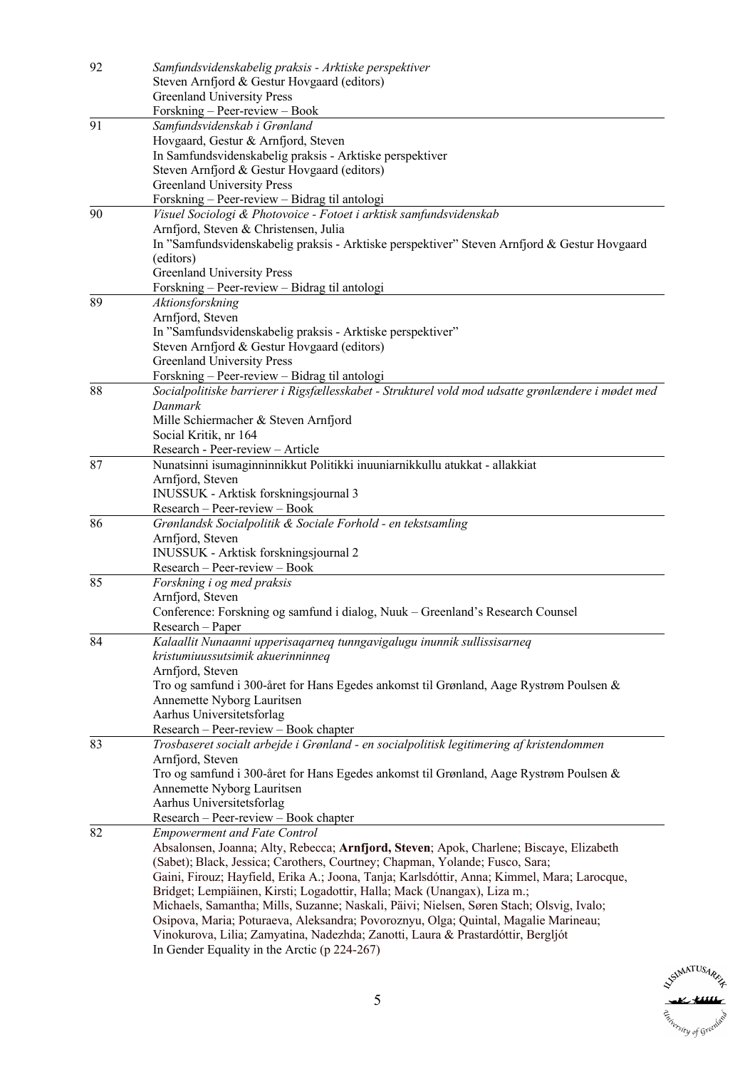| 92 | Samfundsvidenskabelig praksis - Arktiske perspektiver                                                                            |
|----|----------------------------------------------------------------------------------------------------------------------------------|
|    | Steven Arnfjord & Gestur Hovgaard (editors)                                                                                      |
|    | <b>Greenland University Press</b>                                                                                                |
|    | Forskning – Peer-review – Book                                                                                                   |
| 91 | Samfundsvidenskab i Grønland                                                                                                     |
|    | Hovgaard, Gestur & Arnfjord, Steven                                                                                              |
|    | In Samfundsvidenskabelig praksis - Arktiske perspektiver                                                                         |
|    | Steven Arnfjord & Gestur Hovgaard (editors)                                                                                      |
|    | <b>Greenland University Press</b>                                                                                                |
|    | Forskning - Peer-review - Bidrag til antologi                                                                                    |
| 90 | Visuel Sociologi & Photovoice - Fotoet i arktisk samfundsvidenskab                                                               |
|    | Arnfjord, Steven & Christensen, Julia                                                                                            |
|    | In "Samfundsvidenskabelig praksis - Arktiske perspektiver" Steven Arnfjord & Gestur Hovgaard                                     |
|    | (editors)                                                                                                                        |
|    | Greenland University Press                                                                                                       |
|    | Forskning - Peer-review - Bidrag til antologi                                                                                    |
| 89 | Aktionsforskning                                                                                                                 |
|    | Arnfjord, Steven                                                                                                                 |
|    | In "Samfundsvidenskabelig praksis - Arktiske perspektiver"                                                                       |
|    | Steven Arnfjord & Gestur Hovgaard (editors)                                                                                      |
|    | <b>Greenland University Press</b>                                                                                                |
|    | Forskning - Peer-review - Bidrag til antologi                                                                                    |
| 88 | Socialpolitiske barrierer i Rigsfællesskabet - Strukturel vold mod udsatte grønlændere i mødet med                               |
|    | Danmark                                                                                                                          |
|    | Mille Schiermacher & Steven Arnfjord                                                                                             |
|    | Social Kritik, nr 164                                                                                                            |
|    | Research - Peer-review - Article                                                                                                 |
| 87 | Nunatsinni isumaginninnikkut Politikki inuuniarnikkullu atukkat - allakkiat                                                      |
|    | Arnfjord, Steven                                                                                                                 |
|    | INUSSUK - Arktisk forskningsjournal 3                                                                                            |
|    | Research - Peer-review - Book                                                                                                    |
| 86 | Grønlandsk Socialpolitik & Sociale Forhold - en tekstsamling                                                                     |
|    | Arnfjord, Steven                                                                                                                 |
|    | INUSSUK - Arktisk forskningsjournal 2                                                                                            |
|    | Research - Peer-review - Book                                                                                                    |
| 85 | Forskning i og med praksis                                                                                                       |
|    | Arnfjord, Steven                                                                                                                 |
|    | Conference: Forskning og samfund i dialog, Nuuk - Greenland's Research Counsel                                                   |
|    | Research - Paper                                                                                                                 |
| 84 | Kalaallit Nunaanni upperisaqarneq tunngavigalugu inunnik sullissisarneq                                                          |
|    | kristumiuussutsimik akuerinninneq                                                                                                |
|    | Arnfjord, Steven                                                                                                                 |
|    | Tro og samfund i 300-året for Hans Egedes ankomst til Grønland, Aage Rystrøm Poulsen &                                           |
|    | Annemette Nyborg Lauritsen                                                                                                       |
|    | Aarhus Universitetsforlag                                                                                                        |
|    | Research - Peer-review - Book chapter                                                                                            |
| 83 | Trosbaseret socialt arbejde i Grønland - en socialpolitisk legitimering af kristendommen                                         |
|    | Arnfjord, Steven                                                                                                                 |
|    | Tro og samfund i 300-året for Hans Egedes ankomst til Grønland, Aage Rystrøm Poulsen &                                           |
|    | Annemette Nyborg Lauritsen                                                                                                       |
|    | Aarhus Universitetsforlag                                                                                                        |
|    | Research - Peer-review - Book chapter                                                                                            |
|    | <b>Empowerment and Fate Control</b>                                                                                              |
| 82 |                                                                                                                                  |
|    |                                                                                                                                  |
|    | Absalonsen, Joanna; Alty, Rebecca; Arnfjord, Steven; Apok, Charlene; Biscaye, Elizabeth                                          |
|    | (Sabet); Black, Jessica; Carothers, Courtney; Chapman, Yolande; Fusco, Sara;                                                     |
|    | Gaini, Firouz; Hayfield, Erika A.; Joona, Tanja; Karlsdóttir, Anna; Kimmel, Mara; Larocque,                                      |
|    | Bridget; Lempiäinen, Kirsti; Logadottir, Halla; Mack (Unangax), Liza m.;                                                         |
|    | Michaels, Samantha; Mills, Suzanne; Naskali, Päivi; Nielsen, Søren Stach; Olsvig, Ivalo;                                         |
|    | Osipova, Maria; Poturaeva, Aleksandra; Povoroznyu, Olga; Quintal, Magalie Marineau;                                              |
|    | Vinokurova, Lilia; Zamyatina, Nadezhda; Zanotti, Laura & Prastardóttir, Bergljót<br>In Gender Equality in the Arctic (p 224-267) |

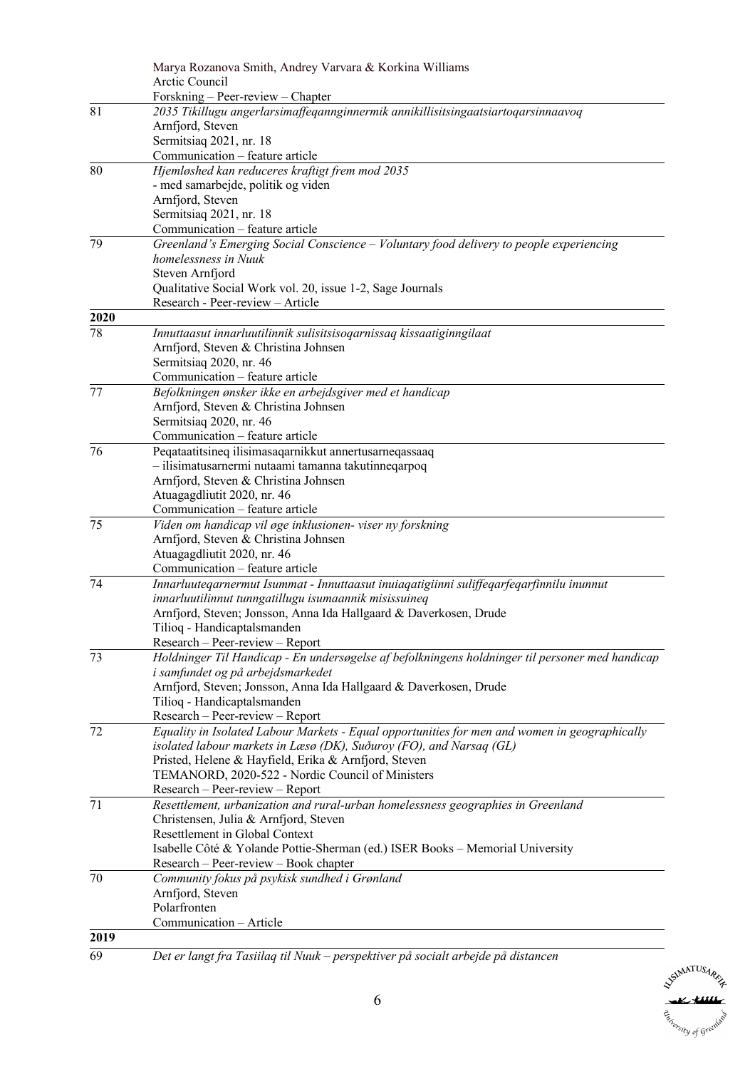|      | Marya Rozanova Smith, Andrey Varvara & Korkina Williams                                         |
|------|-------------------------------------------------------------------------------------------------|
|      | Arctic Council                                                                                  |
|      | Forskning - Peer-review - Chapter                                                               |
| 81   | 2035 Tikillugu angerlarsimaffeqannginnermik annikillisitsingaatsiartoqarsinnaavoq               |
|      | Arnfjord, Steven                                                                                |
|      | Sermitsiaq 2021, nr. 18                                                                         |
|      | Communication - feature article                                                                 |
| 80   | Hjemløshed kan reduceres kraftigt frem mod 2035                                                 |
|      | - med samarbejde, politik og viden                                                              |
|      | Arnfjord, Steven                                                                                |
|      | Sermitsiaq 2021, nr. 18                                                                         |
|      | Communication – feature article                                                                 |
| 79   | Greenland's Emerging Social Conscience - Voluntary food delivery to people experiencing         |
|      | homelessness in Nuuk                                                                            |
|      | Steven Arnfjord                                                                                 |
|      | Qualitative Social Work vol. 20, issue 1-2, Sage Journals                                       |
|      | Research - Peer-review - Article                                                                |
| 2020 |                                                                                                 |
| 78   | Innuttaasut innarluutilinnik sulisitsisoqarnissaq kissaatiginngilaat                            |
|      | Arnfjord, Steven & Christina Johnsen                                                            |
|      | Sermitsiaq 2020, nr. 46                                                                         |
|      | Communication - feature article                                                                 |
| 77   | Befolkningen ønsker ikke en arbejdsgiver med et handicap                                        |
|      | Arnfjord, Steven & Christina Johnsen                                                            |
|      | Sermitsiaq 2020, nr. 46                                                                         |
| 76   | Communication - feature article                                                                 |
|      | Peqataatitsineq ilisimasaqarnikkut annertusarneqassaaq                                          |
|      | - ilisimatusarnermi nutaami tamanna takutinneqarpoq                                             |
|      | Arnfjord, Steven & Christina Johnsen<br>Atuagagdliutit 2020, nr. 46                             |
|      | Communication - feature article                                                                 |
| 75   | Viden om handicap vil øge inklusionen- viser ny forskning                                       |
|      | Arnfjord, Steven & Christina Johnsen                                                            |
|      | Atuagagdliutit 2020, nr. 46                                                                     |
|      | Communication - feature article                                                                 |
| 74   | Innarluuteqarnermut Isummat - Innuttaasut inuiaqatigiinni suliffeqarfeqarfinnilu inunnut        |
|      | innarluutilinnut tunngatillugu isumaannik misissuineq                                           |
|      | Arnfjord, Steven; Jonsson, Anna Ida Hallgaard & Daverkosen, Drude                               |
|      | Tilioq - Handicaptalsmanden                                                                     |
|      | Research - Peer-review - Report                                                                 |
| 73   | Holdninger Til Handicap - En undersøgelse af befolkningens holdninger til personer med handicap |
|      | i samfundet og på arbejdsmarkedet                                                               |
|      | Arnfjord, Steven; Jonsson, Anna Ida Hallgaard & Daverkosen, Drude                               |
|      | Tilioq - Handicaptalsmanden                                                                     |
|      | Research - Peer-review - Report                                                                 |
| 72   | Equality in Isolated Labour Markets - Equal opportunities for men and women in geographically   |
|      | isolated labour markets in Læsø (DK), Suðuroy (FO), and Narsaq (GL)                             |
|      | Pristed, Helene & Hayfield, Erika & Arnfjord, Steven                                            |
|      | TEMANORD, 2020-522 - Nordic Council of Ministers                                                |
|      | Research - Peer-review - Report                                                                 |
| 71   | Resettlement, urbanization and rural-urban homelessness geographies in Greenland                |
|      | Christensen, Julia & Arnfjord, Steven                                                           |
|      | Resettlement in Global Context                                                                  |
|      | Isabelle Côté & Yolande Pottie-Sherman (ed.) ISER Books - Memorial University                   |
|      | Research - Peer-review - Book chapter                                                           |
| 70   | Community fokus på psykisk sundhed i Grønland                                                   |
|      | Arnfjord, Steven                                                                                |
|      | Polarfronten                                                                                    |
|      | Communication - Article                                                                         |
| 2019 |                                                                                                 |
| 69   | Det er langt fra Tasiilaq til Nuuk – perspektiver på socialt arbejde på distancen               |

SSUMATUSARE Estimate of Greenland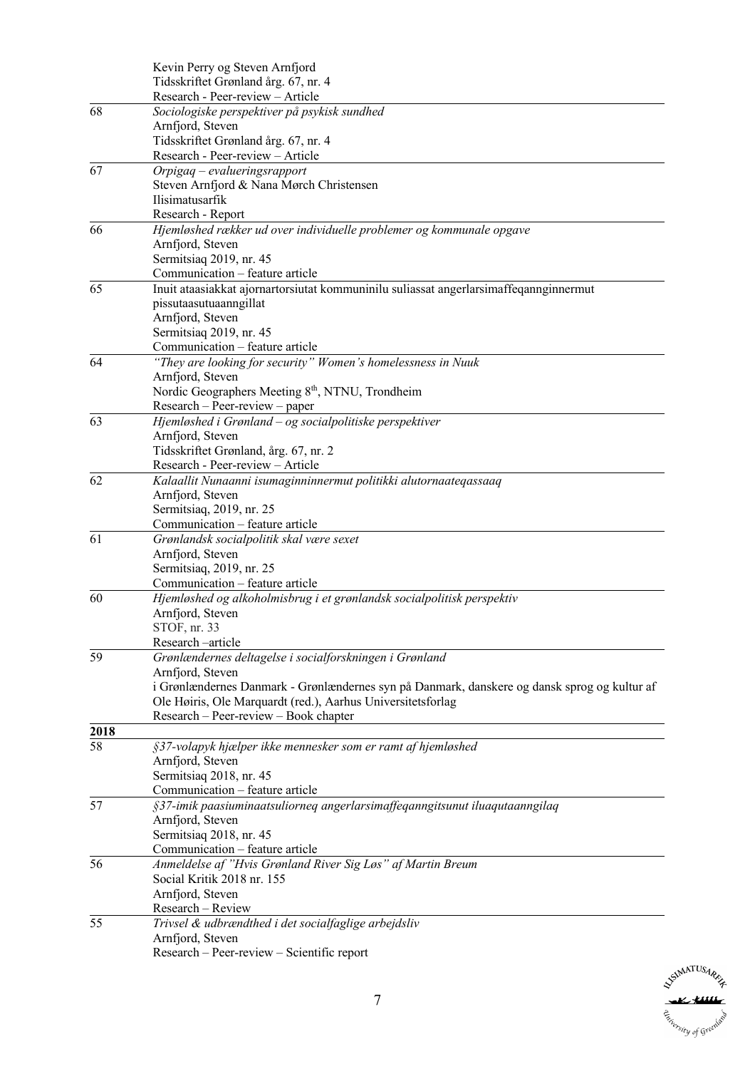|      | Kevin Perry og Steven Arnfjord                                                               |
|------|----------------------------------------------------------------------------------------------|
|      | Tidsskriftet Grønland årg. 67, nr. 4                                                         |
|      | Research - Peer-review - Article                                                             |
| 68   | Sociologiske perspektiver på psykisk sundhed                                                 |
|      | Arnfjord, Steven                                                                             |
|      | Tidsskriftet Grønland årg. 67, nr. 4                                                         |
|      | Research - Peer-review - Article                                                             |
| 67   | Orpigaq - evalueringsrapport                                                                 |
|      | Steven Arnfjord & Nana Mørch Christensen                                                     |
|      | Ilisimatusarfik                                                                              |
|      | Research - Report                                                                            |
| 66   | Hjemløshed rækker ud over individuelle problemer og kommunale opgave                         |
|      | Arnfjord, Steven                                                                             |
|      | Sermitsiaq 2019, nr. 45                                                                      |
|      | Communication - feature article                                                              |
| 65   | Inuit ataasiakkat ajornartorsiutat kommuninilu suliassat angerlarsimaffeqannginnermut        |
|      | pissutaasutuaanngillat                                                                       |
|      | Arnfjord, Steven                                                                             |
|      | Sermitsiaq 2019, nr. 45                                                                      |
|      | Communication - feature article                                                              |
| 64   | "They are looking for security" Women's homelessness in Nuuk                                 |
|      |                                                                                              |
|      | Arnfjord, Steven                                                                             |
|      | Nordic Geographers Meeting 8 <sup>th</sup> , NTNU, Trondheim                                 |
|      | $Research - Peer-review - paper$                                                             |
| 63   | Hjemløshed i Grønland - og socialpolitiske perspektiver                                      |
|      | Arnfjord, Steven                                                                             |
|      | Tidsskriftet Grønland, årg. 67, nr. 2                                                        |
|      | Research - Peer-review - Article                                                             |
| 62   | Kalaallit Nunaanni isumaginninnermut politikki alutornaateqassaaq                            |
|      | Arnfjord, Steven                                                                             |
|      | Sermitsiaq, 2019, nr. 25                                                                     |
|      | Communication - feature article                                                              |
| 61   | Grønlandsk socialpolitik skal være sexet                                                     |
|      | Arnfjord, Steven                                                                             |
|      | Sermitsiaq, 2019, nr. 25                                                                     |
|      | Communication - feature article                                                              |
| 60   | Hjemløshed og alkoholmisbrug i et grønlandsk socialpolitisk perspektiv                       |
|      | Arnfjord, Steven                                                                             |
|      | STOF, nr. 33                                                                                 |
|      | Research-article                                                                             |
| 59   | Grønlændernes deltagelse i socialforskningen i Grønland                                      |
|      | Arnfjord, Steven                                                                             |
|      | i Grønlændernes Danmark - Grønlændernes syn på Danmark, danskere og dansk sprog og kultur af |
|      | Ole Høiris, Ole Marquardt (red.), Aarhus Universitetsforlag                                  |
|      | Research – Peer-review – Book chapter                                                        |
| 2018 |                                                                                              |
| 58   | §37-volapyk hjælper ikke mennesker som er ramt af hjemløshed                                 |
|      | Arnfjord, Steven                                                                             |
|      | Sermitsiaq 2018, nr. 45                                                                      |
|      | Communication - feature article                                                              |
| 57   | §37-imik paasiuminaatsuliorneq angerlarsimaffeqanngitsunut iluaqutaanngilaq                  |
|      | Arnfjord, Steven                                                                             |
|      | Sermitsiaq 2018, nr. 45                                                                      |
|      | Communication - feature article                                                              |
| 56   | Anmeldelse af "Hvis Grønland River Sig Løs" af Martin Breum                                  |
|      | Social Kritik 2018 nr. 155                                                                   |
|      | Arnfjord, Steven                                                                             |
|      | Research - Review                                                                            |
| 55   | Trivsel & udbrændthed i det socialfaglige arbejdsliv                                         |
|      | Arnfjord, Steven                                                                             |
|      | Research - Peer-review - Scientific report                                                   |

**SSIMATUSARIZE**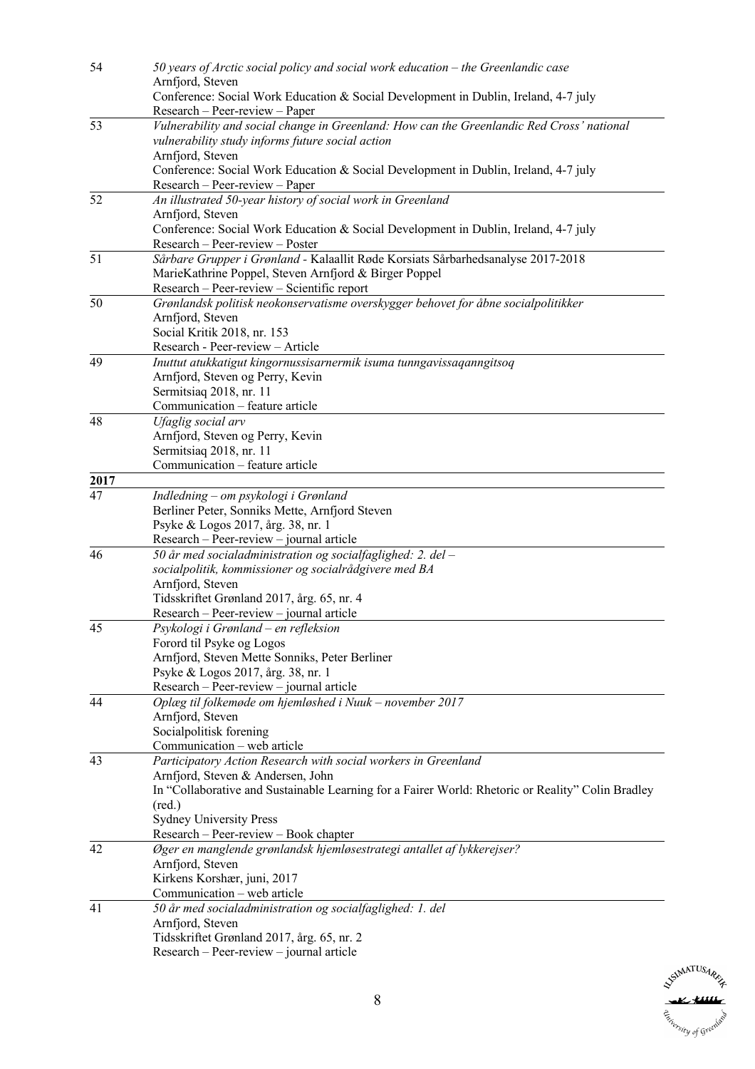| 54              | 50 years of Arctic social policy and social work education – the Greenlandic case<br>Arnfjord, Steven                                         |
|-----------------|-----------------------------------------------------------------------------------------------------------------------------------------------|
|                 | Conference: Social Work Education & Social Development in Dublin, Ireland, 4-7 july<br>Research – Peer-review – Paper                         |
| 53              | Vulnerability and social change in Greenland: How can the Greenlandic Red Cross' national<br>vulnerability study informs future social action |
|                 | Arnfjord, Steven                                                                                                                              |
|                 | Conference: Social Work Education & Social Development in Dublin, Ireland, 4-7 july                                                           |
|                 | Research – Peer-review – Paper                                                                                                                |
| 52              | An illustrated 50-year history of social work in Greenland                                                                                    |
|                 | Arnfjord, Steven                                                                                                                              |
|                 | Conference: Social Work Education & Social Development in Dublin, Ireland, 4-7 july<br>Research - Peer-review - Poster                        |
| 51              | Sårbare Grupper i Grønland - Kalaallit Røde Korsiats Sårbarhedsanalyse 2017-2018                                                              |
|                 | MarieKathrine Poppel, Steven Arnfjord & Birger Poppel                                                                                         |
|                 | Research - Peer-review - Scientific report                                                                                                    |
| 50              | Grønlandsk politisk neokonservatisme overskygger behovet for åbne socialpolitikker                                                            |
|                 | Arnfjord, Steven                                                                                                                              |
|                 | Social Kritik 2018, nr. 153                                                                                                                   |
|                 | Research - Peer-review - Article                                                                                                              |
| 49              | Inuttut atukkatigut kingornussisarnermik isuma tunngavissaqanngitsoq                                                                          |
|                 | Arnfjord, Steven og Perry, Kevin<br>Sermitsiaq 2018, nr. 11                                                                                   |
|                 | Communication - feature article                                                                                                               |
| $\overline{48}$ | Ufaglig social arv                                                                                                                            |
|                 | Arnfjord, Steven og Perry, Kevin                                                                                                              |
|                 | Sermitsiaq 2018, nr. 11                                                                                                                       |
|                 | Communication - feature article                                                                                                               |
| 2017            |                                                                                                                                               |
| 47              | Indledning - om psykologi i Grønland                                                                                                          |
|                 | Berliner Peter, Sonniks Mette, Arnfjord Steven<br>Psyke & Logos 2017, årg. 38, nr. 1                                                          |
|                 | Research - Peer-review - journal article                                                                                                      |
| 46              | 50 år med socialadministration og socialfaglighed: 2. del -                                                                                   |
|                 | socialpolitik, kommissioner og socialrådgivere med BA                                                                                         |
|                 | Arnfjord, Steven                                                                                                                              |
|                 | Tidsskriftet Grønland 2017, årg. 65, nr. 4                                                                                                    |
|                 | Research - Peer-review - journal article                                                                                                      |
| 45              | Psykologi i Grønland - en refleksion                                                                                                          |
|                 | Forord til Psyke og Logos<br>Arnfjord, Steven Mette Sonniks, Peter Berliner                                                                   |
|                 | Psyke & Logos 2017, årg. 38, nr. 1                                                                                                            |
|                 | Research – Peer-review – journal article                                                                                                      |
| 44              | Oplæg til folkemøde om hjemløshed i Nuuk - november 2017                                                                                      |
|                 | Arnfjord, Steven                                                                                                                              |
|                 | Socialpolitisk forening                                                                                                                       |
|                 | Communication - web article                                                                                                                   |
| 43              | Participatory Action Research with social workers in Greenland<br>Arnfjord, Steven & Andersen, John                                           |
|                 | In "Collaborative and Sustainable Learning for a Fairer World: Rhetoric or Reality" Colin Bradley                                             |
|                 | $(\text{red.})$                                                                                                                               |
|                 | <b>Sydney University Press</b>                                                                                                                |
|                 | Research – Peer-review – Book chapter                                                                                                         |
| 42              | Øger en manglende grønlandsk hjemløsestrategi antallet af lykkerejser?                                                                        |
|                 | Arnfjord, Steven                                                                                                                              |
|                 | Kirkens Korshær, juni, 2017                                                                                                                   |
|                 | Communication - web article                                                                                                                   |
| 41              | 50 år med socialadministration og socialfaglighed: 1. del<br>Arnfjord, Steven                                                                 |
|                 | Tidsskriftet Grønland 2017, årg. 65, nr. 2                                                                                                    |
|                 | Research - Peer-review - journal article                                                                                                      |

SSUMATUSARE Estimate of Greenland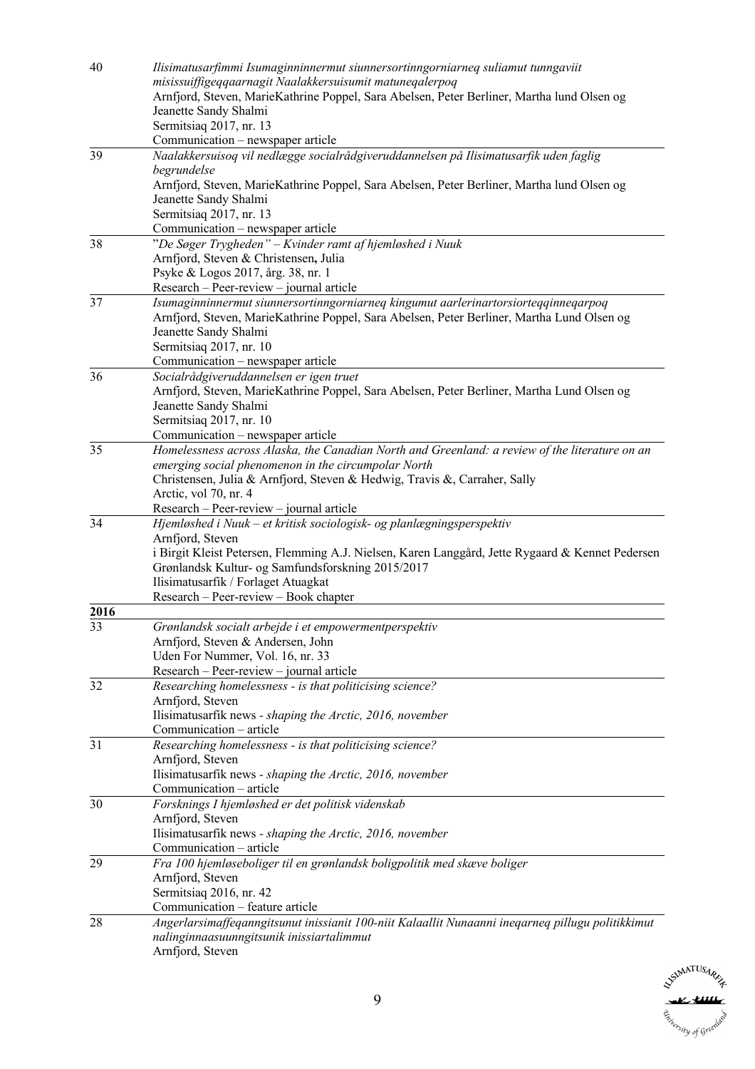| 40   | Ilisimatusarfimmi Isumaginninnermut siunnersortinngorniarneq suliamut tunngaviit                                                |
|------|---------------------------------------------------------------------------------------------------------------------------------|
|      | misissuiffigeqqaarnagit Naalakkersuisumit matuneqalerpoq                                                                        |
|      | Arnfjord, Steven, MarieKathrine Poppel, Sara Abelsen, Peter Berliner, Martha lund Olsen og<br>Jeanette Sandy Shalmi             |
|      | Sermitsiaq 2017, nr. 13                                                                                                         |
|      | Communication – newspaper article                                                                                               |
| 39   | Naalakkersuisoq vil nedlægge socialrådgiveruddannelsen på Ilisimatusarfik uden faglig                                           |
|      | begrundelse                                                                                                                     |
|      | Arnfjord, Steven, MarieKathrine Poppel, Sara Abelsen, Peter Berliner, Martha lund Olsen og                                      |
|      | Jeanette Sandy Shalmi                                                                                                           |
|      | Sermitsiaq 2017, nr. 13                                                                                                         |
|      | Communication - newspaper article                                                                                               |
| 38   | "De Søger Trygheden" - Kvinder ramt af hjemløshed i Nuuk                                                                        |
|      | Arnfjord, Steven & Christensen, Julia                                                                                           |
|      | Psyke & Logos 2017, årg. 38, nr. 1                                                                                              |
| 37   | Research – Peer-review – journal article<br>Isumaginninnermut siunnersortinngorniarneq kingumut aarlerinartorsiorteqqinneqarpoq |
|      | Arnfjord, Steven, MarieKathrine Poppel, Sara Abelsen, Peter Berliner, Martha Lund Olsen og                                      |
|      | Jeanette Sandy Shalmi                                                                                                           |
|      | Sermitsiaq 2017, nr. 10                                                                                                         |
|      | Communication – newspaper article                                                                                               |
| 36   | Socialrådgiveruddannelsen er igen truet                                                                                         |
|      | Arnfjord, Steven, MarieKathrine Poppel, Sara Abelsen, Peter Berliner, Martha Lund Olsen og                                      |
|      | Jeanette Sandy Shalmi                                                                                                           |
|      | Sermitsiaq 2017, nr. 10                                                                                                         |
|      | Communication - newspaper article                                                                                               |
| 35   | Homelessness across Alaska, the Canadian North and Greenland: a review of the literature on an                                  |
|      | emerging social phenomenon in the circumpolar North                                                                             |
|      | Christensen, Julia & Arnfjord, Steven & Hedwig, Travis &, Carraher, Sally                                                       |
|      | Arctic, vol 70, nr. 4<br>Research - Peer-review - journal article                                                               |
| 34   | Hjemløshed i Nuuk - et kritisk sociologisk- og planlægningsperspektiv                                                           |
|      | Arnfjord, Steven                                                                                                                |
|      | i Birgit Kleist Petersen, Flemming A.J. Nielsen, Karen Langgård, Jette Rygaard & Kennet Pedersen                                |
|      | Grønlandsk Kultur- og Samfundsforskning 2015/2017                                                                               |
|      | Ilisimatusarfik / Forlaget Atuagkat                                                                                             |
|      | Research – Peer-review – Book chapter                                                                                           |
| 2016 |                                                                                                                                 |
| 33   | Grønlandsk socialt arbejde i et empowermentperspektiv                                                                           |
|      | Arnfjord, Steven & Andersen, John                                                                                               |
|      | Uden For Nummer, Vol. 16, nr. 33                                                                                                |
| 32   | Research - Peer-review - journal article<br>Researching homelessness - is that politicising science?                            |
|      | Arnfjord, Steven                                                                                                                |
|      | Ilisimatusarfik news - shaping the Arctic, 2016, november                                                                       |
|      | Communication - article                                                                                                         |
| 31   | Researching homelessness - is that politicising science?                                                                        |
|      | Arnfjord, Steven                                                                                                                |
|      | Ilisimatusarfik news - shaping the Arctic, 2016, november                                                                       |
|      | Communication - article                                                                                                         |
| 30   | Forsknings I hjemløshed er det politisk videnskab                                                                               |
|      | Arnfjord, Steven                                                                                                                |
|      | Ilisimatusarfik news - shaping the Arctic, 2016, november                                                                       |
|      | Communication – article                                                                                                         |
| 29   | Fra 100 hjemløseboliger til en grønlandsk boligpolitik med skæve boliger                                                        |
|      | Arnfjord, Steven                                                                                                                |
|      | Sermitsiaq 2016, nr. 42<br>Communication - feature article                                                                      |
| 28   | Angerlarsimaffeqanngitsunut inissianit 100-niit Kalaallit Nunaanni ineqarneq pillugu politikkimut                               |
|      | nalinginnaasuunngitsunik inissiartalimmut                                                                                       |
|      | Arnfjord, Steven                                                                                                                |
|      |                                                                                                                                 |

**NSIMATUSARE** K fiill L, Esterstry of Greenland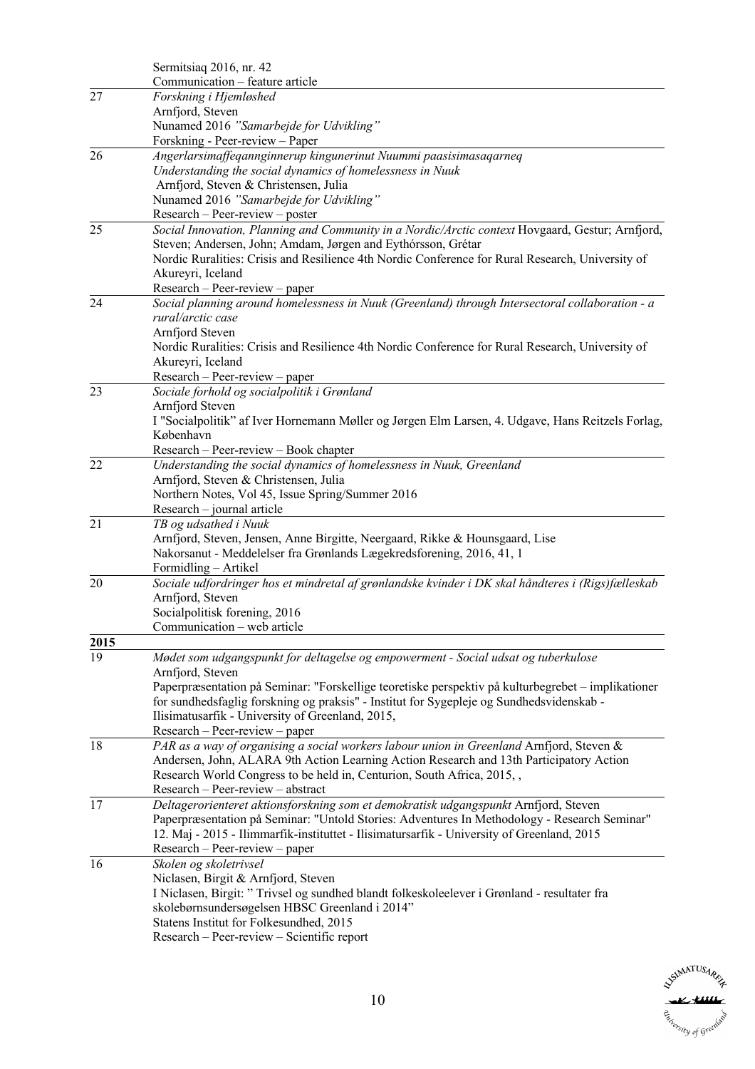|      | Sermitsiaq 2016, nr. 42                                                                            |
|------|----------------------------------------------------------------------------------------------------|
|      | Communication - feature article                                                                    |
| 27   | Forskning i Hjemløshed                                                                             |
|      | Arnfjord, Steven                                                                                   |
|      | Nunamed 2016 "Samarbejde for Udvikling"                                                            |
|      | Forskning - Peer-review - Paper                                                                    |
| 26   | Angerlarsimaffeqannginnerup kingunerinut Nuummi paasisimasaqarneq                                  |
|      | Understanding the social dynamics of homelessness in Nuuk                                          |
|      | Arnfjord, Steven & Christensen, Julia                                                              |
|      | Nunamed 2016 "Samarbejde for Udvikling"                                                            |
|      | $Research - Peer-review - poster$                                                                  |
| 25   |                                                                                                    |
|      | Social Innovation, Planning and Community in a Nordic/Arctic context Hovgaard, Gestur; Arnfjord,   |
|      | Steven; Andersen, John; Amdam, Jørgen and Eythórsson, Grétar                                       |
|      | Nordic Ruralities: Crisis and Resilience 4th Nordic Conference for Rural Research, University of   |
|      | Akureyri, Iceland                                                                                  |
|      | Research - Peer-review - paper                                                                     |
| 24   | Social planning around homelessness in Nuuk (Greenland) through Intersectoral collaboration - a    |
|      | rural/arctic case                                                                                  |
|      | Arnfjord Steven                                                                                    |
|      | Nordic Ruralities: Crisis and Resilience 4th Nordic Conference for Rural Research, University of   |
|      | Akureyri, Iceland                                                                                  |
|      | $Research - Peer-review - paper$                                                                   |
| 23   | Sociale forhold og socialpolitik i Grønland                                                        |
|      | Arnfjord Steven                                                                                    |
|      | I "Socialpolitik" af Iver Hornemann Møller og Jørgen Elm Larsen, 4. Udgave, Hans Reitzels Forlag,  |
|      | København                                                                                          |
|      | Research - Peer-review - Book chapter                                                              |
| 22   | Understanding the social dynamics of homelessness in Nuuk, Greenland                               |
|      | Arnfjord, Steven & Christensen, Julia                                                              |
|      | Northern Notes, Vol 45, Issue Spring/Summer 2016                                                   |
|      | Research - journal article                                                                         |
| 21   | TB og udsathed i Nuuk                                                                              |
|      | Arnfjord, Steven, Jensen, Anne Birgitte, Neergaard, Rikke & Hounsgaard, Lise                       |
|      | Nakorsanut - Meddelelser fra Grønlands Lægekredsforening, 2016, 41, 1                              |
|      | Formidling - Artikel                                                                               |
| 20   |                                                                                                    |
|      | Sociale udfordringer hos et mindretal af grønlandske kvinder i DK skal håndteres i (Rigs)fælleskab |
|      | Arnfjord, Steven                                                                                   |
|      | Socialpolitisk forening, 2016                                                                      |
|      | Communication – web article                                                                        |
| 2015 |                                                                                                    |
| 19   | Mødet som udgangspunkt for deltagelse og empowerment - Social udsat og tuberkulose                 |
|      | Arnfjord, Steven                                                                                   |
|      | Paperpræsentation på Seminar: "Forskellige teoretiske perspektiv på kulturbegrebet – implikationer |
|      | for sundhedsfaglig forskning og praksis" - Institut for Sygepleje og Sundhedsvidenskab -           |
|      | Ilisimatusarfik - University of Greenland, 2015,                                                   |
|      | Research - Peer-review - paper                                                                     |
| 18   | PAR as a way of organising a social workers labour union in Greenland Arnfjord, Steven &           |
|      | Andersen, John, ALARA 9th Action Learning Action Research and 13th Participatory Action            |
|      | Research World Congress to be held in, Centurion, South Africa, 2015, ,                            |
|      | Research - Peer-review - abstract                                                                  |
| 17   | Deltagerorienteret aktionsforskning som et demokratisk udgangspunkt Arnfjord, Steven               |
|      | Paperpræsentation på Seminar: "Untold Stories: Adventures In Methodology - Research Seminar"       |
|      | 12. Maj - 2015 - Ilimmarfik-instituttet - Ilisimatursarfik - University of Greenland, 2015         |
|      | Research – Peer-review – paper                                                                     |
| 16   | Skolen og skoletrivsel                                                                             |
|      | Niclasen, Birgit & Arnfjord, Steven                                                                |
|      | I Niclasen, Birgit: "Trivsel og sundhed blandt folkeskoleelever i Grønland - resultater fra        |
|      |                                                                                                    |
|      | skolebørnsundersøgelsen HBSC Greenland i 2014"                                                     |
|      | Statens Institut for Folkesundhed, 2015                                                            |
|      | Research - Peer-review - Scientific report                                                         |

SUMATUSARIA Esterstry of Greenland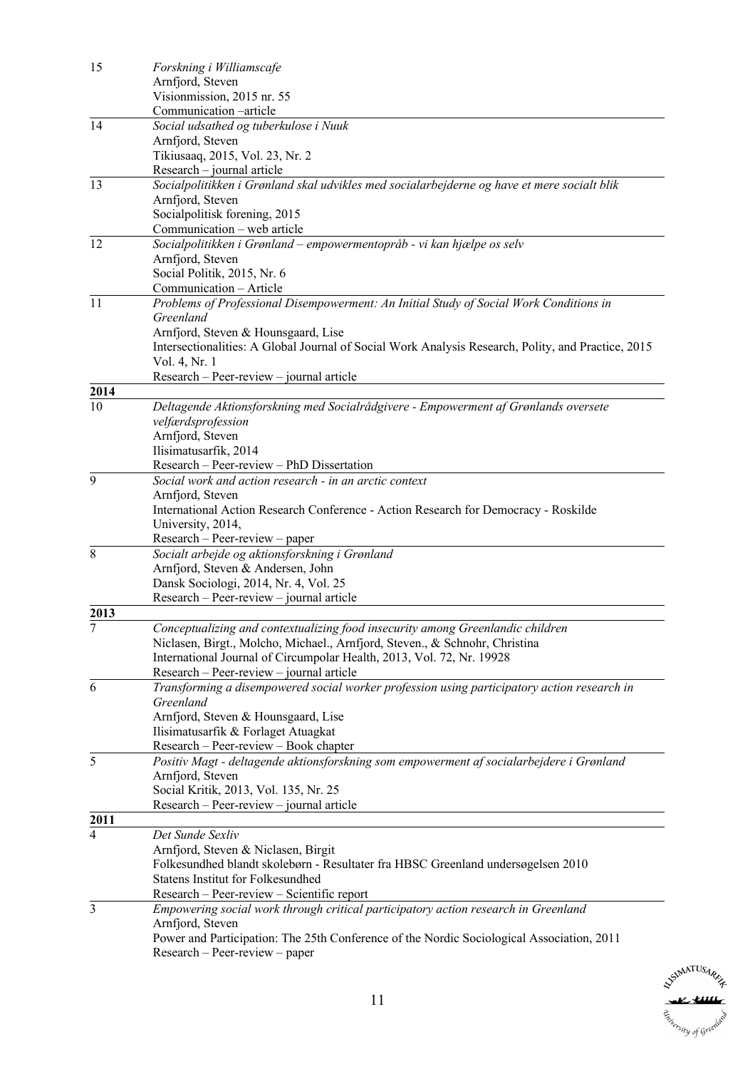| 15             | Forskning i Williamscafe                                                                                      |
|----------------|---------------------------------------------------------------------------------------------------------------|
|                | Arnfjord, Steven                                                                                              |
|                | Visionmission, 2015 nr. 55                                                                                    |
|                | Communication -article                                                                                        |
| 14             | Social udsathed og tuberkulose i Nuuk                                                                         |
|                | Arnfjord, Steven                                                                                              |
|                | Tikiusaaq, 2015, Vol. 23, Nr. 2                                                                               |
|                | Research - journal article                                                                                    |
| 13             | Socialpolitikken i Grønland skal udvikles med socialarbejderne og have et mere socialt blik                   |
|                | Arnfjord, Steven                                                                                              |
|                | Socialpolitisk forening, 2015                                                                                 |
|                | Communication - web article                                                                                   |
| 12             | Socialpolitikken i Grønland – empowermentopråb - vi kan hjælpe os selv                                        |
|                | Arnfjord, Steven                                                                                              |
|                | Social Politik, 2015, Nr. 6                                                                                   |
| 11             | Communication - Article                                                                                       |
|                | Problems of Professional Disempowerment: An Initial Study of Social Work Conditions in<br>Greenland           |
|                | Arnfjord, Steven & Hounsgaard, Lise                                                                           |
|                | Intersectionalities: A Global Journal of Social Work Analysis Research, Polity, and Practice, 2015            |
|                | Vol. 4, Nr. 1                                                                                                 |
|                | Research – Peer-review – journal article                                                                      |
| 2014           |                                                                                                               |
| 10             | Deltagende Aktionsforskning med Socialrådgivere - Empowerment af Grønlands oversete                           |
|                | velfærdsprofession                                                                                            |
|                | Arnfjord, Steven                                                                                              |
|                | Ilisimatusarfik, 2014                                                                                         |
|                | Research - Peer-review - PhD Dissertation                                                                     |
| 9              | Social work and action research - in an arctic context                                                        |
|                | Arnfjord, Steven                                                                                              |
|                | International Action Research Conference - Action Research for Democracy - Roskilde                           |
|                | University, 2014,                                                                                             |
|                | $Research - Peer-review - paper$                                                                              |
| 8              | Socialt arbejde og aktionsforskning i Grønland                                                                |
|                | Arnfjord, Steven & Andersen, John                                                                             |
|                | Dansk Sociologi, 2014, Nr. 4, Vol. 25                                                                         |
|                | Research – Peer-review – journal article                                                                      |
| 2013           |                                                                                                               |
| 7              | Conceptualizing and contextualizing food insecurity among Greenlandic children                                |
|                | Niclasen, Birgt., Molcho, Michael., Arnfjord, Steven., & Schnohr, Christina                                   |
|                | International Journal of Circumpolar Health, 2013, Vol. 72, Nr. 19928                                         |
|                | Research – Peer-review – journal article                                                                      |
| 6              | Transforming a disempowered social worker profession using participatory action research in                   |
|                | Greenland                                                                                                     |
|                | Arnfjord, Steven & Hounsgaard, Lise                                                                           |
|                | Ilisimatusarfik & Forlaget Atuagkat                                                                           |
|                | Research - Peer-review - Book chapter                                                                         |
| 5              | Positiv Magt - deltagende aktionsforskning som empowerment af socialarbejdere i Grønland                      |
|                | Arnfjord, Steven                                                                                              |
|                | Social Kritik, 2013, Vol. 135, Nr. 25                                                                         |
|                | Research – Peer-review – journal article                                                                      |
| 2011           |                                                                                                               |
| $\overline{4}$ | Det Sunde Sexliv                                                                                              |
|                | Arnfjord, Steven & Niclasen, Birgit                                                                           |
|                | Folkesundhed blandt skolebørn - Resultater fra HBSC Greenland undersøgelsen 2010                              |
|                | <b>Statens Institut for Folkesundhed</b>                                                                      |
|                | Research – Peer-review – Scientific report                                                                    |
| 3              | Empowering social work through critical participatory action research in Greenland                            |
|                | Arnfjord, Steven<br>Power and Participation: The 25th Conference of the Nordic Sociological Association, 2011 |
|                | Research - Peer-review - paper                                                                                |
|                |                                                                                                               |

**SUMATUSARIA** Estierstry of Greenland